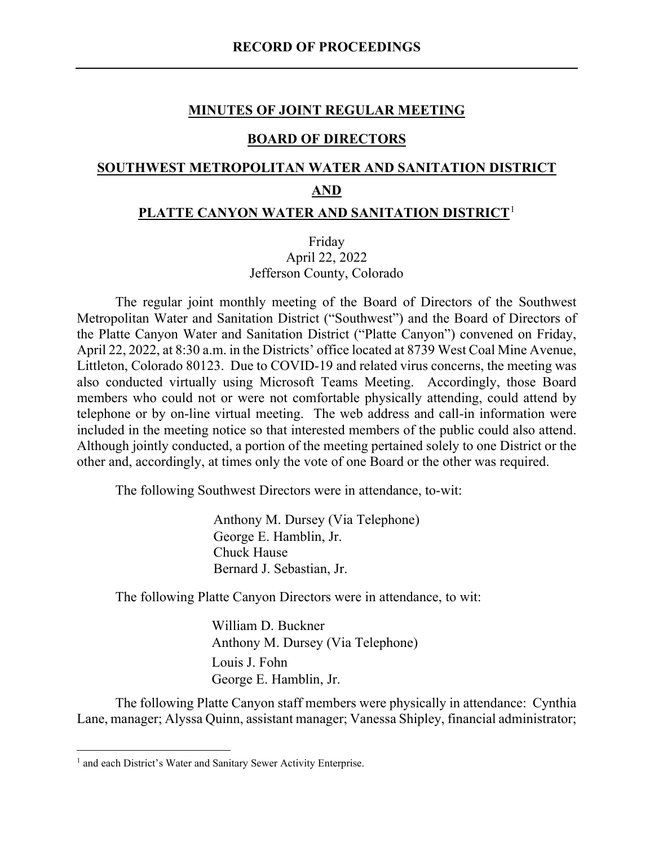#### **MINUTES OF JOINT REGULAR MEETING**

#### **BOARD OF DIRECTORS**

# **SOUTHWEST METROPOLITAN WATER AND SANITATION DISTRICT AND**

# **PLATTE CANYON WATER AND SANITATION DISTRICT**[1](#page-0-0)

Friday April 22, 2022 Jefferson County, Colorado

The regular joint monthly meeting of the Board of Directors of the Southwest Metropolitan Water and Sanitation District ("Southwest") and the Board of Directors of the Platte Canyon Water and Sanitation District ("Platte Canyon") convened on Friday, April 22, 2022, at 8:30 a.m. in the Districts' office located at 8739 West Coal Mine Avenue, Littleton, Colorado 80123. Due to COVID-19 and related virus concerns, the meeting was also conducted virtually using Microsoft Teams Meeting. Accordingly, those Board members who could not or were not comfortable physically attending, could attend by telephone or by on-line virtual meeting. The web address and call-in information were included in the meeting notice so that interested members of the public could also attend. Although jointly conducted, a portion of the meeting pertained solely to one District or the other and, accordingly, at times only the vote of one Board or the other was required.

The following Southwest Directors were in attendance, to-wit:

Anthony M. Dursey (Via Telephone) George E. Hamblin, Jr. Chuck Hause Bernard J. Sebastian, Jr.

The following Platte Canyon Directors were in attendance, to wit:

William D. Buckner Anthony M. Dursey (Via Telephone) Louis J. Fohn George E. Hamblin, Jr.

The following Platte Canyon staff members were physically in attendance: Cynthia Lane, manager; Alyssa Quinn, assistant manager; Vanessa Shipley, financial administrator;

<span id="page-0-0"></span><sup>&</sup>lt;sup>1</sup> and each District's Water and Sanitary Sewer Activity Enterprise.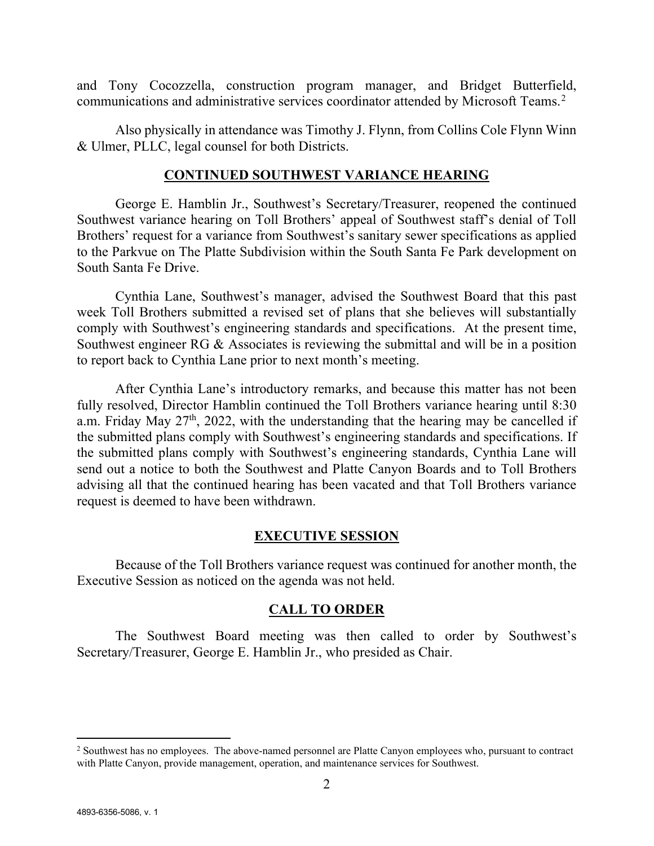and Tony Cocozzella, construction program manager, and Bridget Butterfield, communications and administrative services coordinator attended by Microsoft Teams.[2](#page-1-0)

Also physically in attendance was Timothy J. Flynn, from Collins Cole Flynn Winn & Ulmer, PLLC, legal counsel for both Districts.

#### **CONTINUED SOUTHWEST VARIANCE HEARING**

George E. Hamblin Jr., Southwest's Secretary/Treasurer, reopened the continued Southwest variance hearing on Toll Brothers' appeal of Southwest staff's denial of Toll Brothers' request for a variance from Southwest's sanitary sewer specifications as applied to the Parkvue on The Platte Subdivision within the South Santa Fe Park development on South Santa Fe Drive.

Cynthia Lane, Southwest's manager, advised the Southwest Board that this past week Toll Brothers submitted a revised set of plans that she believes will substantially comply with Southwest's engineering standards and specifications. At the present time, Southwest engineer RG & Associates is reviewing the submittal and will be in a position to report back to Cynthia Lane prior to next month's meeting.

After Cynthia Lane's introductory remarks, and because this matter has not been fully resolved, Director Hamblin continued the Toll Brothers variance hearing until 8:30 a.m. Friday May  $27<sup>th</sup>$ , 2022, with the understanding that the hearing may be cancelled if the submitted plans comply with Southwest's engineering standards and specifications. If the submitted plans comply with Southwest's engineering standards, Cynthia Lane will send out a notice to both the Southwest and Platte Canyon Boards and to Toll Brothers advising all that the continued hearing has been vacated and that Toll Brothers variance request is deemed to have been withdrawn.

#### **EXECUTIVE SESSION**

Because of the Toll Brothers variance request was continued for another month, the Executive Session as noticed on the agenda was not held.

#### **CALL TO ORDER**

The Southwest Board meeting was then called to order by Southwest's Secretary/Treasurer, George E. Hamblin Jr., who presided as Chair.

<span id="page-1-0"></span><sup>&</sup>lt;sup>2</sup> Southwest has no employees. The above-named personnel are Platte Canyon employees who, pursuant to contract with Platte Canyon, provide management, operation, and maintenance services for Southwest.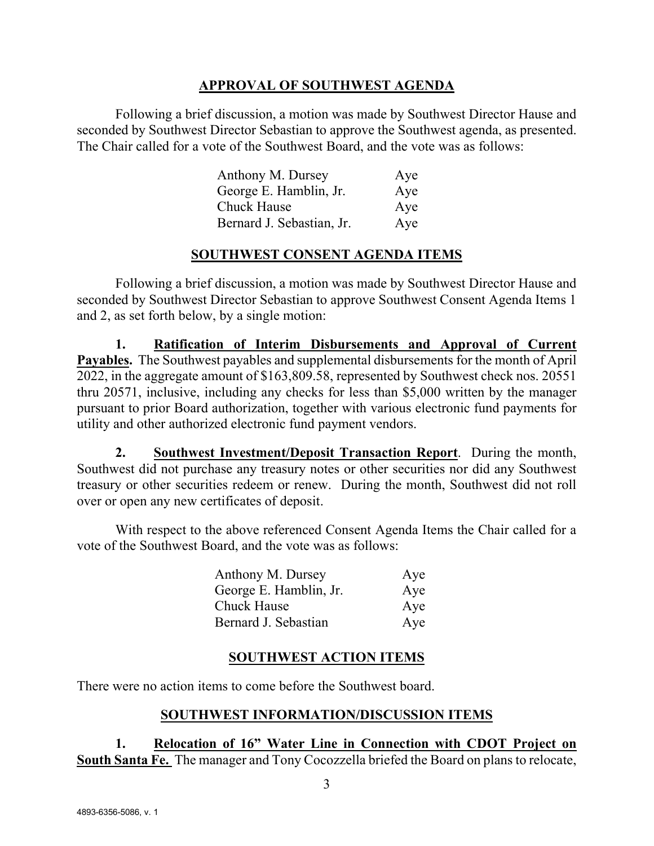## **APPROVAL OF SOUTHWEST AGENDA**

Following a brief discussion, a motion was made by Southwest Director Hause and seconded by Southwest Director Sebastian to approve the Southwest agenda, as presented. The Chair called for a vote of the Southwest Board, and the vote was as follows:

| Anthony M. Dursey         | Aye |
|---------------------------|-----|
| George E. Hamblin, Jr.    | Aye |
| <b>Chuck Hause</b>        | Aye |
| Bernard J. Sebastian, Jr. | Aye |

## **SOUTHWEST CONSENT AGENDA ITEMS**

Following a brief discussion, a motion was made by Southwest Director Hause and seconded by Southwest Director Sebastian to approve Southwest Consent Agenda Items 1 and 2, as set forth below, by a single motion:

**1. Ratification of Interim Disbursements and Approval of Current Payables.** The Southwest payables and supplemental disbursements for the month of April 2022, in the aggregate amount of \$163,809.58, represented by Southwest check nos. 20551 thru 20571, inclusive, including any checks for less than \$5,000 written by the manager pursuant to prior Board authorization, together with various electronic fund payments for utility and other authorized electronic fund payment vendors.

**2. Southwest Investment/Deposit Transaction Report**. During the month, Southwest did not purchase any treasury notes or other securities nor did any Southwest treasury or other securities redeem or renew. During the month, Southwest did not roll over or open any new certificates of deposit.

With respect to the above referenced Consent Agenda Items the Chair called for a vote of the Southwest Board, and the vote was as follows:

| Anthony M. Dursey      | Aye |
|------------------------|-----|
| George E. Hamblin, Jr. | Aye |
| <b>Chuck Hause</b>     | Aye |
| Bernard J. Sebastian   | Aye |

# **SOUTHWEST ACTION ITEMS**

There were no action items to come before the Southwest board.

# **SOUTHWEST INFORMATION/DISCUSSION ITEMS**

**1. Relocation of 16" Water Line in Connection with CDOT Project on South Santa Fe.** The manager and Tony Cocozzella briefed the Board on plans to relocate,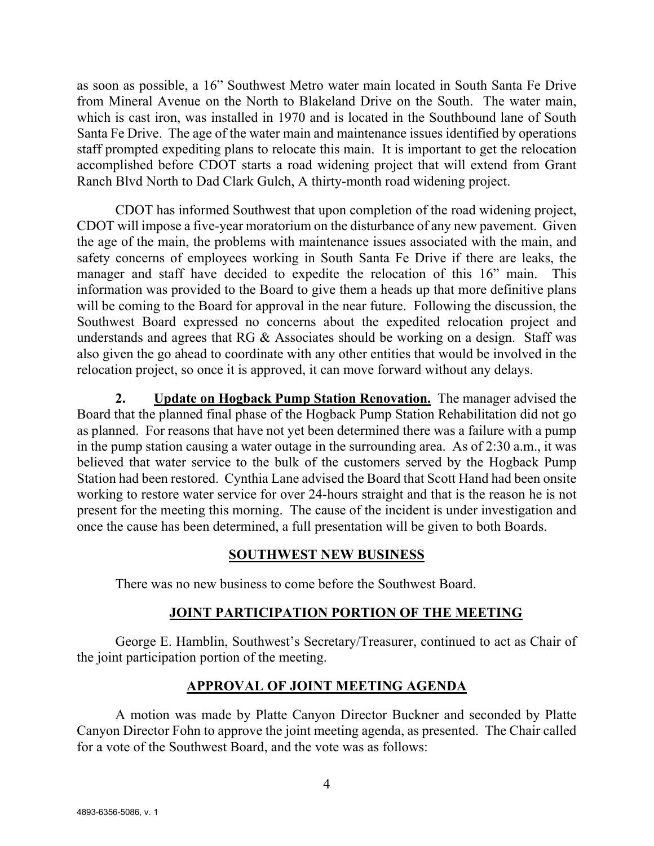as soon as possible, a 16" Southwest Metro water main located in South Santa Fe Drive from Mineral Avenue on the North to Blakeland Drive on the South. The water main, which is cast iron, was installed in 1970 and is located in the Southbound lane of South Santa Fe Drive. The age of the water main and maintenance issues identified by operations staff prompted expediting plans to relocate this main. It is important to get the relocation accomplished before CDOT starts a road widening project that will extend from Grant Ranch Blvd North to Dad Clark Gulch, A thirty-month road widening project.

CDOT has informed Southwest that upon completion of the road widening project, CDOT will impose a five-year moratorium on the disturbance of any new pavement. Given the age of the main, the problems with maintenance issues associated with the main, and safety concerns of employees working in South Santa Fe Drive if there are leaks, the manager and staff have decided to expedite the relocation of this 16" main. This information was provided to the Board to give them a heads up that more definitive plans will be coming to the Board for approval in the near future. Following the discussion, the Southwest Board expressed no concerns about the expedited relocation project and understands and agrees that RG & Associates should be working on a design. Staff was also given the go ahead to coordinate with any other entities that would be involved in the relocation project, so once it is approved, it can move forward without any delays.

**2. Update on Hogback Pump Station Renovation.** The manager advised the Board that the planned final phase of the Hogback Pump Station Rehabilitation did not go as planned. For reasons that have not yet been determined there was a failure with a pump in the pump station causing a water outage in the surrounding area. As of 2:30 a.m., it was believed that water service to the bulk of the customers served by the Hogback Pump Station had been restored. Cynthia Lane advised the Board that Scott Hand had been onsite working to restore water service for over 24-hours straight and that is the reason he is not present for the meeting this morning. The cause of the incident is under investigation and once the cause has been determined, a full presentation will be given to both Boards.

#### **SOUTHWEST NEW BUSINESS**

There was no new business to come before the Southwest Board.

## **JOINT PARTICIPATION PORTION OF THE MEETING**

George E. Hamblin, Southwest's Secretary/Treasurer, continued to act as Chair of the joint participation portion of the meeting.

# **APPROVAL OF JOINT MEETING AGENDA**

A motion was made by Platte Canyon Director Buckner and seconded by Platte Canyon Director Fohn to approve the joint meeting agenda, as presented. The Chair called for a vote of the Southwest Board, and the vote was as follows: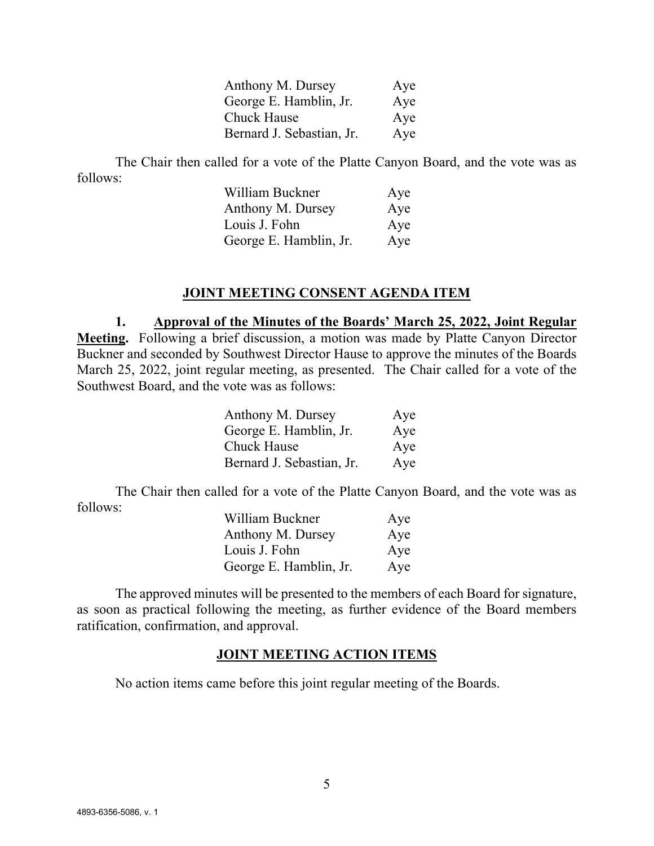| Anthony M. Dursey         | Aye |
|---------------------------|-----|
| George E. Hamblin, Jr.    | Aye |
| <b>Chuck Hause</b>        | Aye |
| Bernard J. Sebastian, Jr. | Aye |

The Chair then called for a vote of the Platte Canyon Board, and the vote was as follows:

| William Buckner        | Aye |
|------------------------|-----|
| Anthony M. Dursey      | Aye |
| Louis J. Fohn          | Aye |
| George E. Hamblin, Jr. | Aye |

#### **JOINT MEETING CONSENT AGENDA ITEM**

**1. Approval of the Minutes of the Boards' March 25, 2022, Joint Regular Meeting.** Following a brief discussion, a motion was made by Platte Canyon Director Buckner and seconded by Southwest Director Hause to approve the minutes of the Boards March 25, 2022, joint regular meeting, as presented. The Chair called for a vote of the Southwest Board, and the vote was as follows:

| Anthony M. Dursey         | Aye |
|---------------------------|-----|
| George E. Hamblin, Jr.    | Aye |
| Chuck Hause               | Aye |
| Bernard J. Sebastian, Jr. | Aye |

The Chair then called for a vote of the Platte Canyon Board, and the vote was as follows:

| William Buckner        | Aye |
|------------------------|-----|
| Anthony M. Dursey      | Aye |
| Louis J. Fohn          | Aye |
| George E. Hamblin, Jr. | Aye |

The approved minutes will be presented to the members of each Board for signature, as soon as practical following the meeting, as further evidence of the Board members ratification, confirmation, and approval.

#### **JOINT MEETING ACTION ITEMS**

No action items came before this joint regular meeting of the Boards.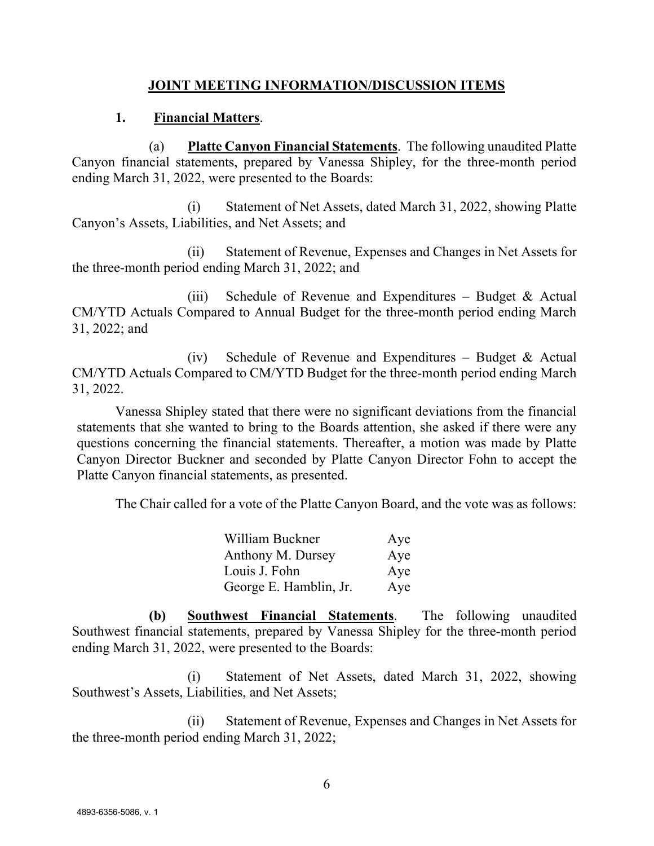## **JOINT MEETING INFORMATION/DISCUSSION ITEMS**

## **1. Financial Matters**.

(a) **Platte Canyon Financial Statements**. The following unaudited Platte Canyon financial statements, prepared by Vanessa Shipley, for the three-month period ending March 31, 2022, were presented to the Boards:

(i) Statement of Net Assets, dated March 31, 2022, showing Platte Canyon's Assets, Liabilities, and Net Assets; and

(ii) Statement of Revenue, Expenses and Changes in Net Assets for the three-month period ending March 31, 2022; and

(iii) Schedule of Revenue and Expenditures – Budget  $\&$  Actual CM/YTD Actuals Compared to Annual Budget for the three-month period ending March 31, 2022; and

(iv) Schedule of Revenue and Expenditures – Budget & Actual CM/YTD Actuals Compared to CM/YTD Budget for the three-month period ending March 31, 2022.

Vanessa Shipley stated that there were no significant deviations from the financial statements that she wanted to bring to the Boards attention, she asked if there were any questions concerning the financial statements. Thereafter, a motion was made by Platte Canyon Director Buckner and seconded by Platte Canyon Director Fohn to accept the Platte Canyon financial statements, as presented.

The Chair called for a vote of the Platte Canyon Board, and the vote was as follows:

| William Buckner        | Aye |
|------------------------|-----|
| Anthony M. Dursey      | Aye |
| Louis J. Fohn          | Aye |
| George E. Hamblin, Jr. | Aye |

**(b) Southwest Financial Statements**. The following unaudited Southwest financial statements, prepared by Vanessa Shipley for the three-month period ending March 31, 2022, were presented to the Boards:

(i) Statement of Net Assets, dated March 31, 2022, showing Southwest's Assets, Liabilities, and Net Assets;

(ii) Statement of Revenue, Expenses and Changes in Net Assets for the three-month period ending March 31, 2022;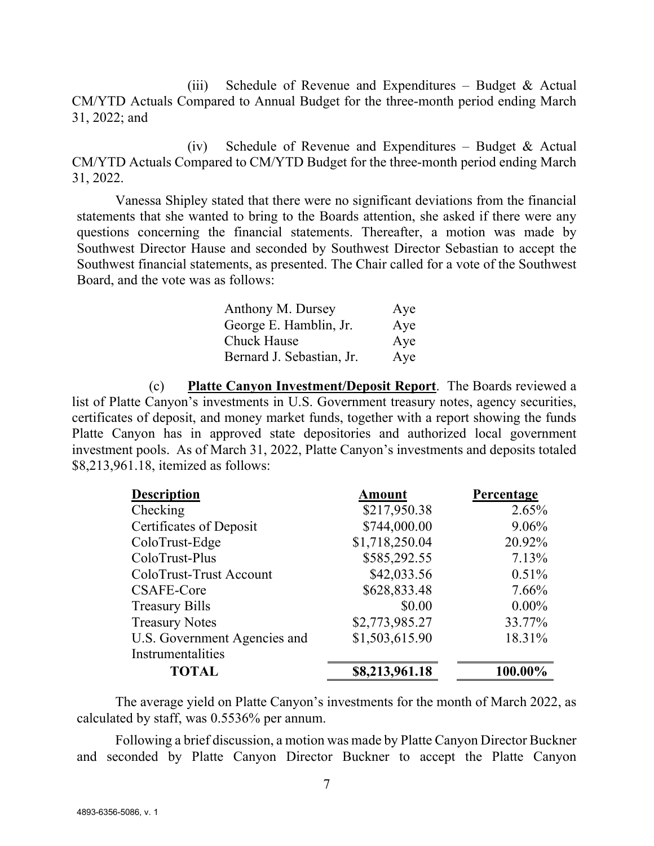(iii) Schedule of Revenue and Expenditures – Budget  $&$  Actual CM/YTD Actuals Compared to Annual Budget for the three-month period ending March 31, 2022; and

(iv) Schedule of Revenue and Expenditures – Budget & Actual CM/YTD Actuals Compared to CM/YTD Budget for the three-month period ending March 31, 2022.

Vanessa Shipley stated that there were no significant deviations from the financial statements that she wanted to bring to the Boards attention, she asked if there were any questions concerning the financial statements. Thereafter, a motion was made by Southwest Director Hause and seconded by Southwest Director Sebastian to accept the Southwest financial statements, as presented. The Chair called for a vote of the Southwest Board, and the vote was as follows:

| Anthony M. Dursey         | Aye |
|---------------------------|-----|
| George E. Hamblin, Jr.    | Aye |
| <b>Chuck Hause</b>        | Aye |
| Bernard J. Sebastian, Jr. | Aye |

(c) **Platte Canyon Investment/Deposit Report**. The Boards reviewed a list of Platte Canyon's investments in U.S. Government treasury notes, agency securities, certificates of deposit, and money market funds, together with a report showing the funds Platte Canyon has in approved state depositories and authorized local government investment pools. As of March 31, 2022, Platte Canyon's investments and deposits totaled \$8,213,961.18, itemized as follows:

| <b>Description</b>           | <b>Amount</b>  | Percentage |
|------------------------------|----------------|------------|
| Checking                     | \$217,950.38   | 2.65%      |
| Certificates of Deposit      | \$744,000.00   | 9.06%      |
| ColoTrust-Edge               | \$1,718,250.04 | 20.92%     |
| ColoTrust-Plus               | \$585,292.55   | 7.13%      |
| ColoTrust-Trust Account      | \$42,033.56    | 0.51%      |
| CSAFE-Core                   | \$628,833.48   | 7.66%      |
| <b>Treasury Bills</b>        | \$0.00         | $0.00\%$   |
| <b>Treasury Notes</b>        | \$2,773,985.27 | 33.77%     |
| U.S. Government Agencies and | \$1,503,615.90 | 18.31%     |
| Instrumentalities            |                |            |
| <b>TOTAL</b>                 | \$8,213,961.18 | 100.00%    |

The average yield on Platte Canyon's investments for the month of March 2022, as calculated by staff, was 0.5536% per annum.

Following a brief discussion, a motion was made by Platte Canyon Director Buckner and seconded by Platte Canyon Director Buckner to accept the Platte Canyon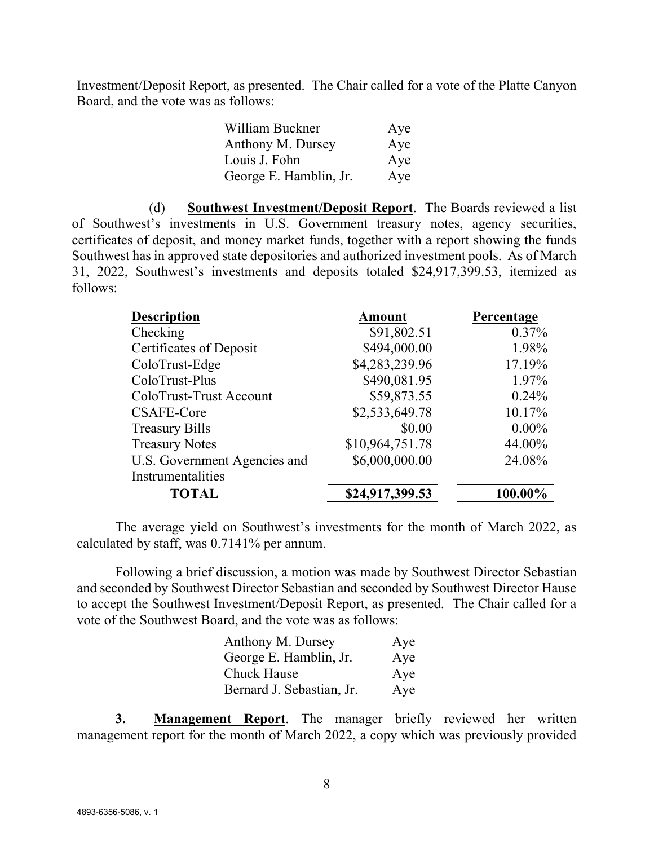Investment/Deposit Report, as presented. The Chair called for a vote of the Platte Canyon Board, and the vote was as follows:

| William Buckner        | Aye |
|------------------------|-----|
| Anthony M. Dursey      | Aye |
| Louis J. Fohn          | Aye |
| George E. Hamblin, Jr. | Aye |

(d) **Southwest Investment/Deposit Report**. The Boards reviewed a list of Southwest's investments in U.S. Government treasury notes, agency securities, certificates of deposit, and money market funds, together with a report showing the funds Southwest has in approved state depositories and authorized investment pools. As of March 31, 2022, Southwest's investments and deposits totaled \$24,917,399.53, itemized as follows:

| <b>Description</b>           | <b>Amount</b>   | Percentage |
|------------------------------|-----------------|------------|
| Checking                     | \$91,802.51     | $0.37\%$   |
| Certificates of Deposit      | \$494,000.00    | 1.98%      |
| ColoTrust-Edge               | \$4,283,239.96  | 17.19%     |
| ColoTrust-Plus               | \$490,081.95    | 1.97%      |
| ColoTrust-Trust Account      | \$59,873.55     | $0.24\%$   |
| CSAFE-Core                   | \$2,533,649.78  | 10.17%     |
| <b>Treasury Bills</b>        | \$0.00          | $0.00\%$   |
| <b>Treasury Notes</b>        | \$10,964,751.78 | 44.00%     |
| U.S. Government Agencies and | \$6,000,000.00  | 24.08%     |
| Instrumentalities            |                 |            |
| <b>TOTAL</b>                 | \$24,917,399.53 | 100.00%    |

The average yield on Southwest's investments for the month of March 2022, as calculated by staff, was 0.7141% per annum.

Following a brief discussion, a motion was made by Southwest Director Sebastian and seconded by Southwest Director Sebastian and seconded by Southwest Director Hause to accept the Southwest Investment/Deposit Report, as presented. The Chair called for a vote of the Southwest Board, and the vote was as follows:

| Anthony M. Dursey         | Aye |
|---------------------------|-----|
| George E. Hamblin, Jr.    | Aye |
| <b>Chuck Hause</b>        | Aye |
| Bernard J. Sebastian, Jr. | Aye |

**3. Management Report**. The manager briefly reviewed her written management report for the month of March 2022, a copy which was previously provided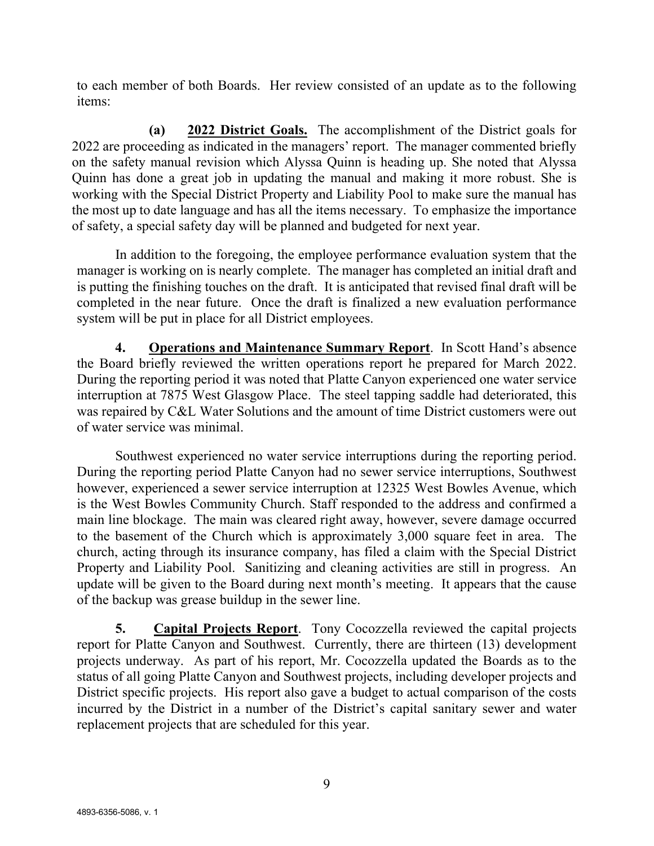to each member of both Boards. Her review consisted of an update as to the following items:

**(a) 2022 District Goals.** The accomplishment of the District goals for 2022 are proceeding as indicated in the managers' report. The manager commented briefly on the safety manual revision which Alyssa Quinn is heading up. She noted that Alyssa Quinn has done a great job in updating the manual and making it more robust. She is working with the Special District Property and Liability Pool to make sure the manual has the most up to date language and has all the items necessary. To emphasize the importance of safety, a special safety day will be planned and budgeted for next year.

In addition to the foregoing, the employee performance evaluation system that the manager is working on is nearly complete. The manager has completed an initial draft and is putting the finishing touches on the draft. It is anticipated that revised final draft will be completed in the near future. Once the draft is finalized a new evaluation performance system will be put in place for all District employees.

**4. Operations and Maintenance Summary Report**. In Scott Hand's absence the Board briefly reviewed the written operations report he prepared for March 2022. During the reporting period it was noted that Platte Canyon experienced one water service interruption at 7875 West Glasgow Place. The steel tapping saddle had deteriorated, this was repaired by C&L Water Solutions and the amount of time District customers were out of water service was minimal.

Southwest experienced no water service interruptions during the reporting period. During the reporting period Platte Canyon had no sewer service interruptions, Southwest however, experienced a sewer service interruption at 12325 West Bowles Avenue, which is the West Bowles Community Church. Staff responded to the address and confirmed a main line blockage. The main was cleared right away, however, severe damage occurred to the basement of the Church which is approximately 3,000 square feet in area. The church, acting through its insurance company, has filed a claim with the Special District Property and Liability Pool. Sanitizing and cleaning activities are still in progress. An update will be given to the Board during next month's meeting. It appears that the cause of the backup was grease buildup in the sewer line.

**5. Capital Projects Report**. Tony Cocozzella reviewed the capital projects report for Platte Canyon and Southwest. Currently, there are thirteen (13) development projects underway. As part of his report, Mr. Cocozzella updated the Boards as to the status of all going Platte Canyon and Southwest projects, including developer projects and District specific projects. His report also gave a budget to actual comparison of the costs incurred by the District in a number of the District's capital sanitary sewer and water replacement projects that are scheduled for this year.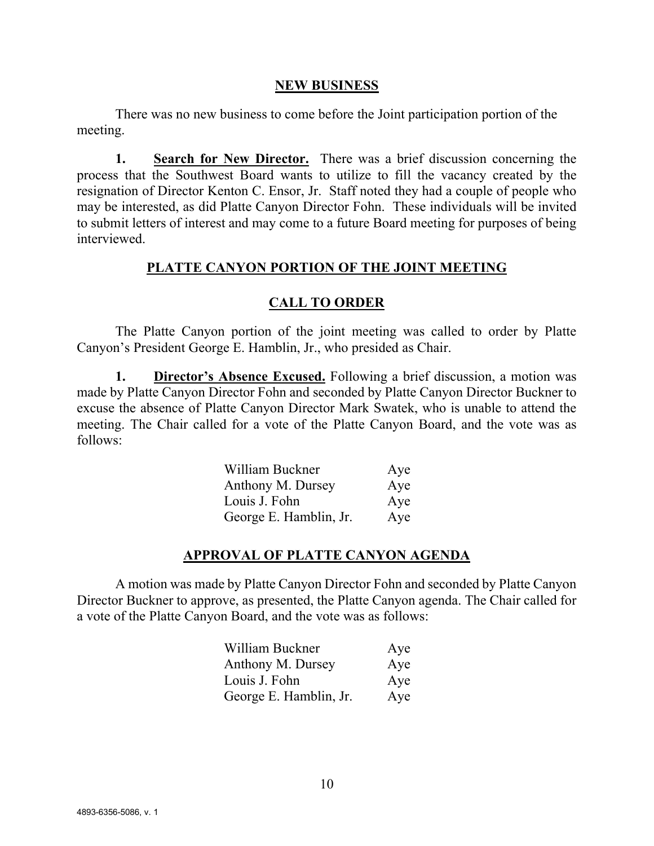#### **NEW BUSINESS**

There was no new business to come before the Joint participation portion of the meeting.

**1. Search for New Director.** There was a brief discussion concerning the process that the Southwest Board wants to utilize to fill the vacancy created by the resignation of Director Kenton C. Ensor, Jr. Staff noted they had a couple of people who may be interested, as did Platte Canyon Director Fohn. These individuals will be invited to submit letters of interest and may come to a future Board meeting for purposes of being interviewed.

#### **PLATTE CANYON PORTION OF THE JOINT MEETING**

## **CALL TO ORDER**

The Platte Canyon portion of the joint meeting was called to order by Platte Canyon's President George E. Hamblin, Jr., who presided as Chair.

**1. Director's Absence Excused.** Following a brief discussion, a motion was made by Platte Canyon Director Fohn and seconded by Platte Canyon Director Buckner to excuse the absence of Platte Canyon Director Mark Swatek, who is unable to attend the meeting. The Chair called for a vote of the Platte Canyon Board, and the vote was as follows:

| William Buckner        | Aye |
|------------------------|-----|
| Anthony M. Dursey      | Aye |
| Louis J. Fohn          | Aye |
| George E. Hamblin, Jr. | Aye |

## **APPROVAL OF PLATTE CANYON AGENDA**

A motion was made by Platte Canyon Director Fohn and seconded by Platte Canyon Director Buckner to approve, as presented, the Platte Canyon agenda. The Chair called for a vote of the Platte Canyon Board, and the vote was as follows:

| William Buckner        | Aye |
|------------------------|-----|
| Anthony M. Dursey      | Aye |
| Louis J. Fohn          | Aye |
| George E. Hamblin, Jr. | Aye |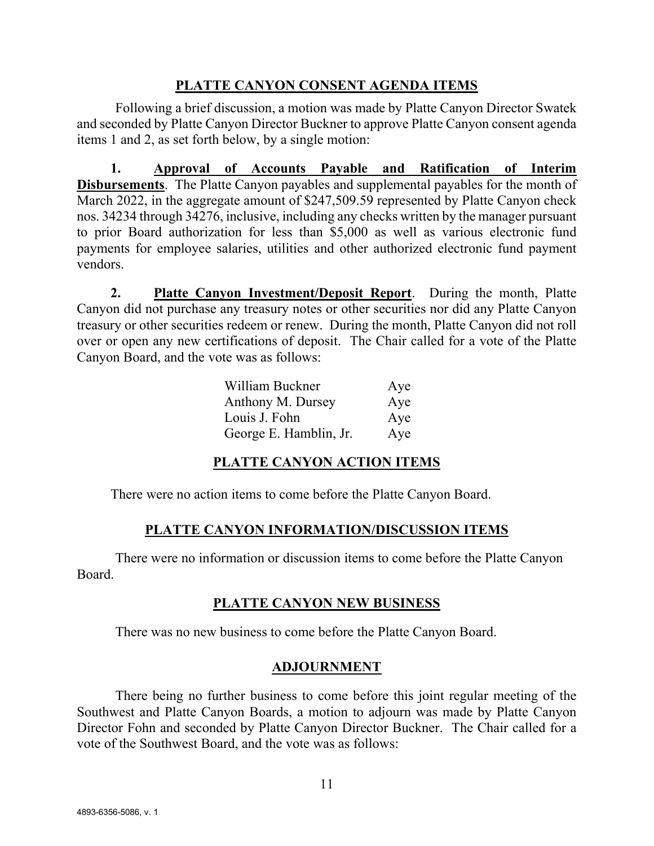## **PLATTE CANYON CONSENT AGENDA ITEMS**

Following a brief discussion, a motion was made by Platte Canyon Director Swatek and seconded by Platte Canyon Director Buckner to approve Platte Canyon consent agenda items 1 and 2, as set forth below, by a single motion:

**1. Approval of Accounts Payable and Ratification of Interim Disbursements**. The Platte Canyon payables and supplemental payables for the month of March 2022, in the aggregate amount of \$247,509.59 represented by Platte Canyon check nos. 34234 through 34276, inclusive, including any checks written by the manager pursuant to prior Board authorization for less than \$5,000 as well as various electronic fund payments for employee salaries, utilities and other authorized electronic fund payment vendors.

**2. Platte Canyon Investment/Deposit Report**. During the month, Platte Canyon did not purchase any treasury notes or other securities nor did any Platte Canyon treasury or other securities redeem or renew. During the month, Platte Canyon did not roll over or open any new certifications of deposit. The Chair called for a vote of the Platte Canyon Board, and the vote was as follows:

| William Buckner        | Aye |
|------------------------|-----|
| Anthony M. Dursey      | Aye |
| Louis J. Fohn          | Aye |
| George E. Hamblin, Jr. | Aye |

# **PLATTE CANYON ACTION ITEMS**

There were no action items to come before the Platte Canyon Board.

## **PLATTE CANYON INFORMATION/DISCUSSION ITEMS**

There were no information or discussion items to come before the Platte Canyon Board.

## **PLATTE CANYON NEW BUSINESS**

There was no new business to come before the Platte Canyon Board.

## **ADJOURNMENT**

There being no further business to come before this joint regular meeting of the Southwest and Platte Canyon Boards, a motion to adjourn was made by Platte Canyon Director Fohn and seconded by Platte Canyon Director Buckner. The Chair called for a vote of the Southwest Board, and the vote was as follows: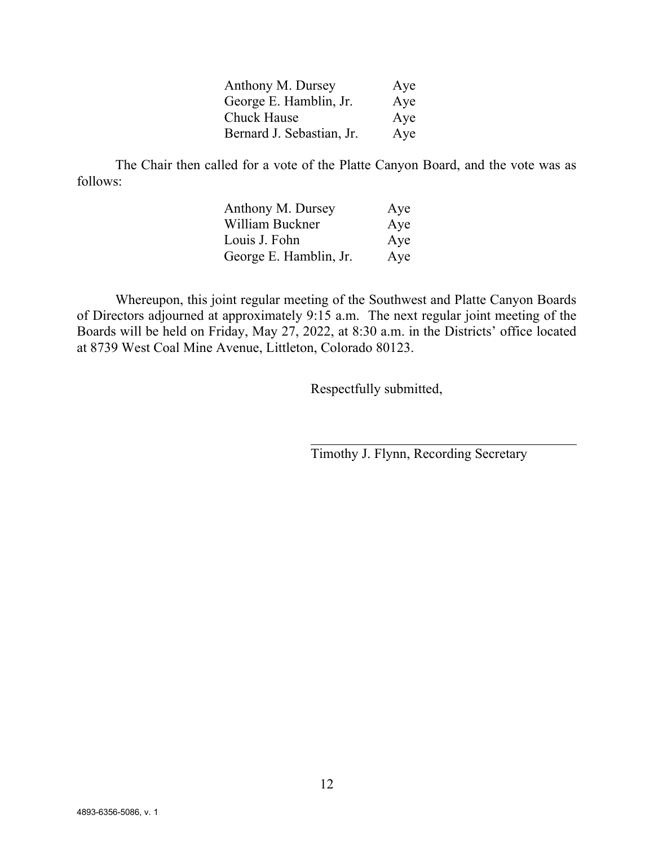| Anthony M. Dursey         | Aye |
|---------------------------|-----|
| George E. Hamblin, Jr.    | Aye |
| <b>Chuck Hause</b>        | Aye |
| Bernard J. Sebastian, Jr. | Aye |

The Chair then called for a vote of the Platte Canyon Board, and the vote was as follows:

| Anthony M. Dursey      | Aye |
|------------------------|-----|
| William Buckner        | Aye |
| Louis J. Fohn          | Aye |
| George E. Hamblin, Jr. | Aye |

Whereupon, this joint regular meeting of the Southwest and Platte Canyon Boards of Directors adjourned at approximately 9:15 a.m. The next regular joint meeting of the Boards will be held on Friday, May 27, 2022, at 8:30 a.m. in the Districts' office located at 8739 West Coal Mine Avenue, Littleton, Colorado 80123.

Respectfully submitted,

Timothy J. Flynn, Recording Secretary